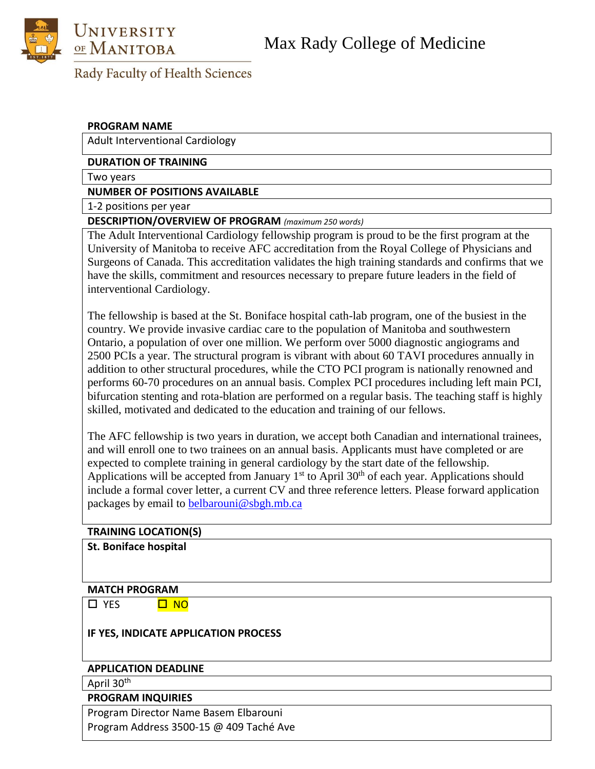

## Rady Faculty of Health Sciences

#### **PROGRAM NAME**

Adult Interventional Cardiology

#### **DURATION OF TRAINING**

Two years

**NUMBER OF POSITIONS AVAILABLE**

1-2 positions per year

### **DESCRIPTION/OVERVIEW OF PROGRAM** *(maximum 250 words)*

The Adult Interventional Cardiology fellowship program is proud to be the first program at the University of Manitoba to receive AFC accreditation from the Royal College of Physicians and Surgeons of Canada. This accreditation validates the high training standards and confirms that we have the skills, commitment and resources necessary to prepare future leaders in the field of interventional Cardiology.

The fellowship is based at the St. Boniface hospital cath-lab program, one of the busiest in the country. We provide invasive cardiac care to the population of Manitoba and southwestern Ontario, a population of over one million. We perform over 5000 diagnostic angiograms and 2500 PCIs a year. The structural program is vibrant with about 60 TAVI procedures annually in addition to other structural procedures, while the CTO PCI program is nationally renowned and performs 60-70 procedures on an annual basis. Complex PCI procedures including left main PCI, bifurcation stenting and rota-blation are performed on a regular basis. The teaching staff is highly skilled, motivated and dedicated to the education and training of our fellows.

The AFC fellowship is two years in duration, we accept both Canadian and international trainees, and will enroll one to two trainees on an annual basis. Applicants must have completed or are expected to complete training in general cardiology by the start date of the fellowship. Applications will be accepted from January  $1<sup>st</sup>$  to April 30<sup>th</sup> of each year. Applications should include a formal cover letter, a current CV and three reference letters. Please forward application packages by email to [belbarouni@sbgh.mb.ca](mailto:belbarouni@sbgh.mb.ca)

#### **TRAINING LOCATION(S)**

**St. Boniface hospital**

#### **MATCH PROGRAM**

□ YES □ NO

#### **IF YES, INDICATE APPLICATION PROCESS**

#### **APPLICATION DEADLINE**

April 30<sup>th</sup>

#### **PROGRAM INQUIRIES**

Program Director Name Basem Elbarouni Program Address 3500-15 @ 409 Taché Ave